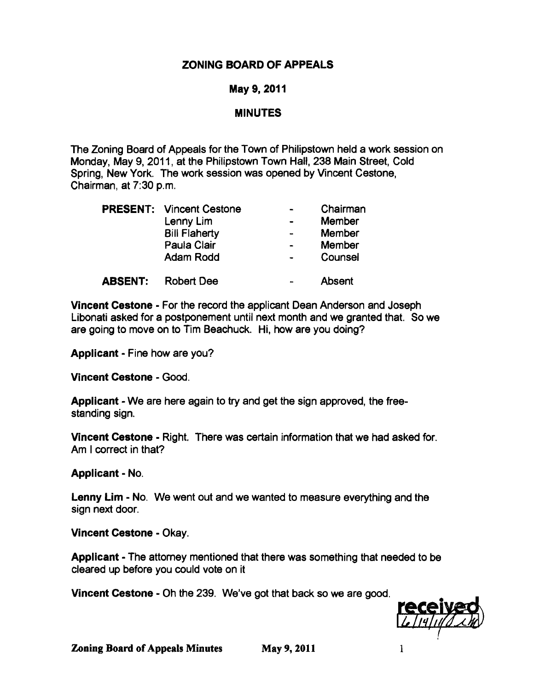# ZONING BOARD OF APPEALS

## May 9,2011

### **MINUTES**

The Zoning Board of Appeals for the Town of Philipstown held a work session on Monday, May 9, 2011, at the Philipstown Town Hall, 238 Main Street, Cold Spring, New York. The work session was opened by Vincent Cestone, Chairman, at 7:30 p.m.

|  | <b>PRESENT: Vincent Cestone</b> | Chairman      |
|--|---------------------------------|---------------|
|  | Lenny Lim                       | <b>Member</b> |
|  | <b>Bill Flaherty</b>            | <b>Member</b> |
|  | Paula Clair                     | Member        |
|  | <b>Adam Rodd</b>                | Counsel       |
|  |                                 |               |

ABSENT: Robert Dee **Absent** 

Vincent Cestone - For the record the applicant Dean Anderson and Joseph Libonati asked for a postponement until next month and we granted that. So we are going to move on to Tim Beachuck. Hi, how are you doing?

Applicant - Fine how are you?

Vincent Cestone - Good.

Applicant - We are here again to try and get the sign approved, the free standing sign.

Vincent Cestone - Right. There was certain information that we had asked for. Am I correct in that?

Applicant - No.

Lenny Lim - No. We went out and we wanted to measure everything and the sign next door.

Vincent Cestone - Okay.

Applicant - The attomey mentioned that there was something that needed to be cleared up before you could vote on it

Vincent Cestone - Oh the 239. We've got that back so we are good.



**Zoning Board of Appeals Minutes May 9, 2011** 1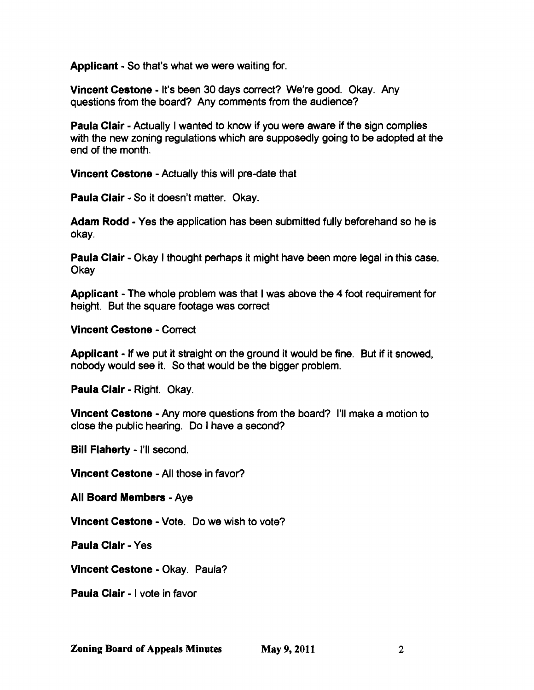Applicant - So that's what we were waiting for.

Vincent Cestone - It's been 30 days correct? We're good. Okay. Any questions from the board? Any comments from the audience?

**Paula Clair - Actually I wanted to know if you were aware if the sign complies** with the new zoning regulations which are supposedly going to be adopted at the end of the month.

Vincent Cestone - Actually this will pre-date that

Paula Clair - So it doesn't matter. Okay.

Adam Rodd - Yes the application has been submitted fully beforehand so he is okay.

Paula Clair - Okay I thought perhaps it might have been more legal in this case. Okay

Applicant - The whole problem was that I was above the 4 foot requirement for height. But the square footage was correct

Vincent Cestone - Correct

Applicant - If we put it straight on the ground it would be fine. But if it snowed, nobody would see it. So that would be the bigger problem.

Paula Clair - Right. Okay.

Vincent Cestone - Any more questions from the board? I'll make a motion to close the public hearing. Do I have a second?

Bill Flaherty - I'll second.

Vincent Cestone - All those in favor?

All Board Members - Aye

Vincent Cestone - Vote. Do we wish to vote?

Paula Clair - Yes

Vincent Cestone - Okay. Paula?

Paula Clair - I vote in favor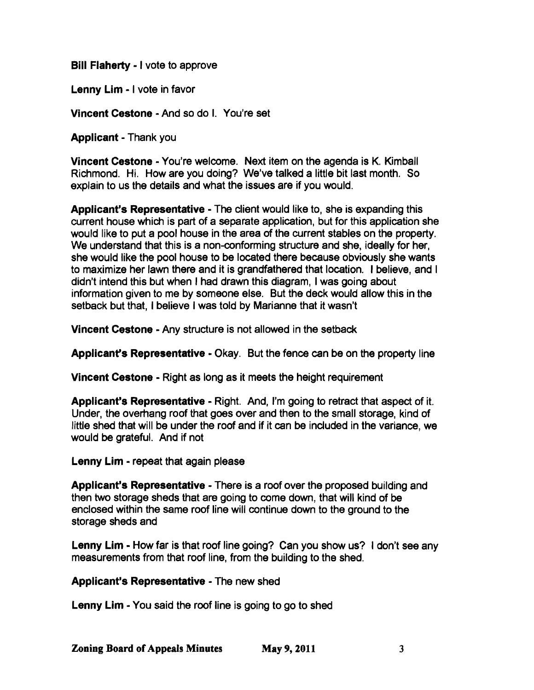Bill Flaherty - I vote to approve

Lenny Lim - I vote in favor

Vincent Cestone - And so do I. You're set

Applicant - Thank you

Vincent Cestone - You're welcome. Next item on the agenda is K. Kimball Richmond. Hi. How are you doing? We've talked a little bit last month. So explain to us the details and what the issues are if you would.

Applicant's Representative - The client would like to, she is expanding this current house which is part of a separate application, but for this application she would like to put a pool house in the area of the current stables on the property. We understand that this is a non-conforming structure and she, ideally for her, she would like the pool house to be located there because obviously she wants to maximize her lawn there and it is grandfathered that location. I believe, and I didn't intend this but when I had drawn this diagram, I was going about information given to me by someone else. But the deck would allow this in the setback but that, I believe I was told by Marianne that it wasn't

Vincent Cestone - Any structure is not allowed in the setback

Applicant's Representative - Okay. But the fence can be on the property line

Vincent Cestone - Right as long as it meets the height requirement

Applicant's Representative - Right. And, I'm going to retract that aspect of it. Under, the overhang roof that goes over and then to the small storage, kind of little shed that will be under the roof and if it can be included in the variance, we would be grateful. And if not

Lenny Lim - repeat that again please

Applicant's Representative - There is a roof over the proposed building and then two storage sheds that are going to come down, that will kind of be enclosed within the same roof line will continue down to the ground to the storage sheds and

Lenny Lim - How far is that roof line going? Can you show us? I don't see any measurements from that roof line, from the building to the shed.

Applicant's Representative - The new shed

Lenny Lim - You said the roof line is going to go to shed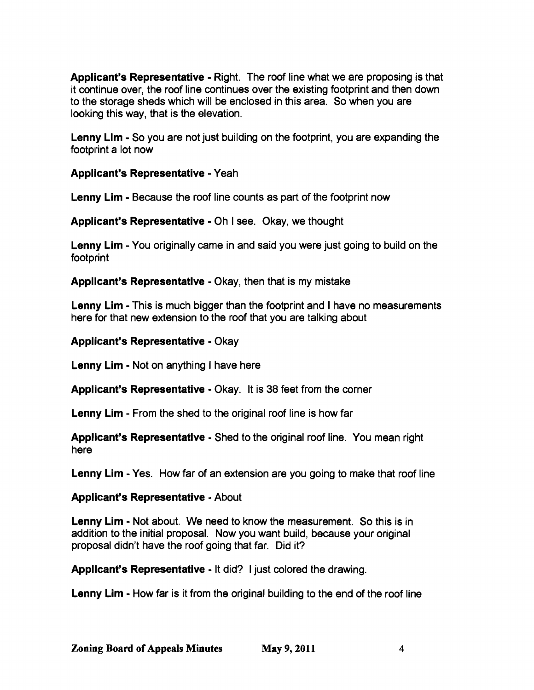Applicant's Representative - Right. The roof line what we are proposing is that it continue over, the roof line continues over the existing footprint and then down to the storage sheds which will be enclosed in this area. So when you are looking this way, that is the elevation.

Lenny Lim - So you are not just building on the footprint, you are expanding the footprint a lot now

Applicant's Representative - Yeah

Lenny Lim - Because the roof line counts as part of the footprint now

Applicant's Representative - Oh I see. Okay, we thought

Lenny Lim - You originally came in and said you were just going to build on the footprint

Applicant's Representative - Okay, then that is my mistake

Lenny Lim - This is much bigger than the footprint and I have no measurements here for that new extension to the roof that you are talking about

## Applicant's Representative - Okay

Lenny Lim - Not on anything I have here

Applicant's Representative - Okay. It is 38 feet from the corner

Lenny Lim - From the shed to the original roof line is how far

Applicant's Representative - Shed to the original roof line. You mean right here

Lenny Lim - Yes. How far of an extension are you going to make that roof line

# Applicant's Representative - About

Lenny Lim - Not about. We need to know the measurement. So this is in addition to the initial proposal. Now you want build, because your original proposal didn't have the roof going that far. Did it?

Applicant's Representative - It did? I just colored the drawing.

Lenny Lim - How far is it from the original building to the end of the roof line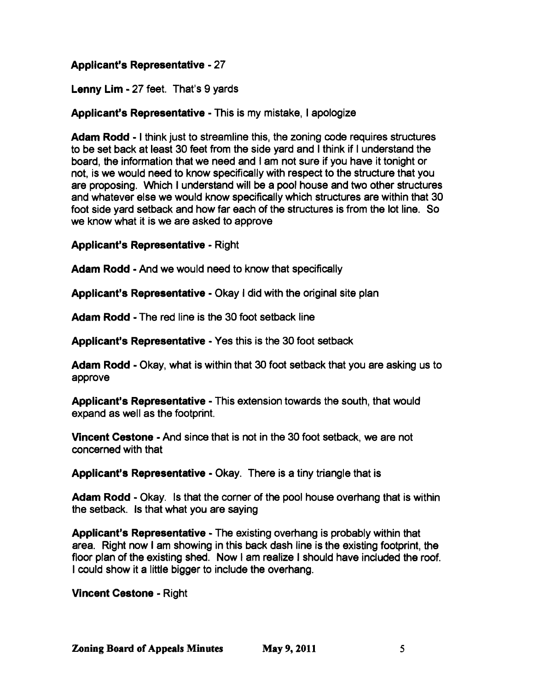# Applicant's Representative - 27

Lenny Lim - 27 feet. That's 9 yards

## Applicant's Representative - This is my mistake, I apologize

Adam Rodd - I think just to streamline this, the zoning code requires structures to be set back at least 30 feet from the side yard and I think if I understand the board, the information that we need and I am not sure if you have it tonight or not, is we would need to know specifically with respect to the structure that you are proposing. Which I understand will be a pool house and two other structures and whatever else we would know specifically which structures are within that 30 foot side yard setback and how far each of the structures is from the lot line. So we know what it is we are asked to approve

### Applicant's Representative - Right

Adam Rodd - And we would need to know that specifically

Applicant's Representative - Okay I did with the original site plan

Adam Rodd - The red line is the 30 foot setback line

Applicant's Representative - Yes this is the 30 foot setback

Adam Rodd - Okay, what is within that 30 foot setback that you are asking us to approve

Applicant's Representative - This extension towards the south, that would expand as well as the footprint.

Vincent Cestone - And since that is not in the 30 foot setback, we are not concerned with that

Applicant's Representative - Okay. There is a tiny triangle that is

Adam Rodd - Okay. Is that the corner of the pool house overhang that is within the setback. Is that what you are saying

Applicant's Representative - The existing overhang is probably within that area. Right now I am showing in this back dash line is the existing footprint, the floor plan of the existing shed. Now  $I$  am realize I should have included the roof. I could show it a little bigger to include the overhang.

Vincent Cestone - Right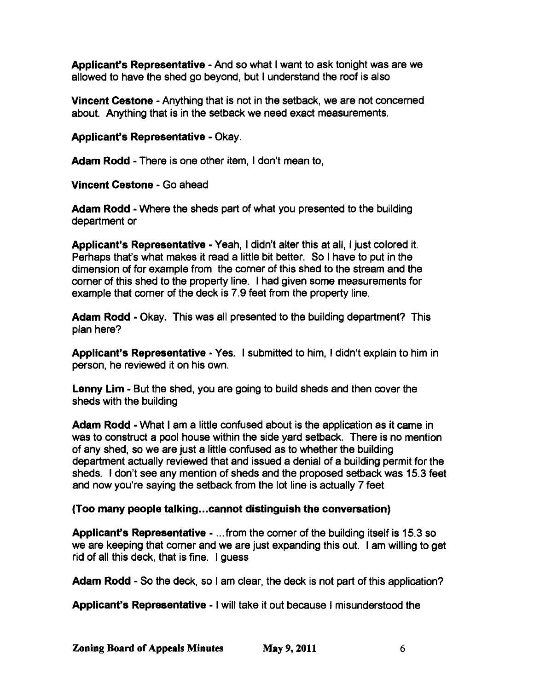Applicant's Representative - And so what I want to ask tonight was are we allowed to have the shed go beyond, but I understand the roof is also

Vincent Cestone - Anything that is not in the setback, we are not concerned about. Anything that is in the setback we need exact measurements.

Applicant's Representative - Okay.

Adam Rodd - There is one other item, I don't mean to,

Vincent Cestone - Go ahead

Adam Rodd - Where the sheds part of what you presented to the building department or

Applicant's Representative - Yeah, I didn't alter this at all, I just colored it. Perhaps that's what makes it read a little bit better. So I have to put in the dimension of for example from the corner of this shed to the stream and the corner of this shed to the property line. I had given some measurements for example that comer of the deck is 7.9 feet from the property line.

Adam Rodd - Okay. This was all presented to the building department? This plan here?

Applicant's Representative - Yes. I submitted to him, I didn't explain to him in person, he reviewed it on his own.

Lenny Lim - But the shed, you are going to build sheds and then cover the sheds with the building

Adam Rodd - What I am a little confused about is the application as it came in was to construct a pool house within the side yard setback. There is no mention of any shed, so we are just a little confused as to whether the building department actually reviewed that and issued a denial of a building permit for the sheds. I don't see any mention of sheds and the proposed setback was 15.3 feet and now you're saying the setback from the lot line is actually 7 feet

# (Too many people talking...cannot distinguish the conversation)

Applicant's Representative - ...from the comer of the building itself is 15.3 so we are keeping that comer and we are just expanding this out. I am willing to get rid of all this deck, that is fine. I guess

Adam Rodd - So the deck, so I am clear, the deck is not part of this application?

Applicant's Representative - I will take it out because I misunderstood the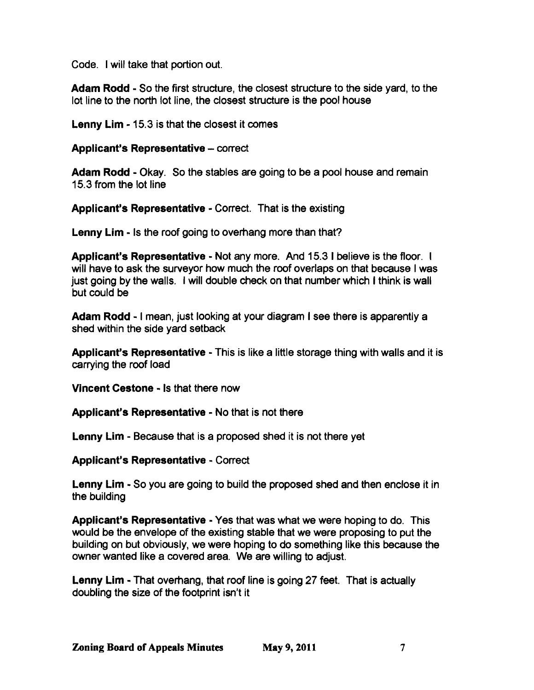Code. I will take that portion out.

Adam Rodd - So the first structure, the closest structure to the side yard, to the lot line to the north lot line, the closest structure is the pool house

Lenny Lim -15.3 is that the closest it comes

### Applicant's Representative - correct

Adam Rodd - Okay. So the stables are going to be a pool house and remain 15.3 from the lot line

Applicant's Representative - Correct. That is the existing

Lenny Lim - Is the roof going to overhang more than that?

Applicant's Representative - Not any more. And 15.3 I believe is the floor. I will have to ask the surveyor how much the roof overlaps on that because I was just going by the walls. I will double check on that number which I think is wall but could be

Adam Rodd - I mean, just looking at your diagram I see there is apparently a shed within the side yard setback

Applicant's Representative - This is like a little storage thing with walls and it is carrying the roof load

Vincent Cestone - Is that there now

Applicant's Representative - No that is not there

Lenny Lim - Because that is a proposed shed it is not there yet

Applicant's Representative - Correct

Lenny Lim - So you are going to build the proposed shed and then enclose it in the building

Applicant's Representative - Yes that was what we were hoping to do. This would be the envelope of the existing stable that we were proposing to put the building on but obviously, we were hoping to do something like this because the owner wanted like a covered area. We are willing to adjust.

Lenny Lim - That overhang, that roof line is going 27 feet. That is actually doubling the size of the footprint isn't it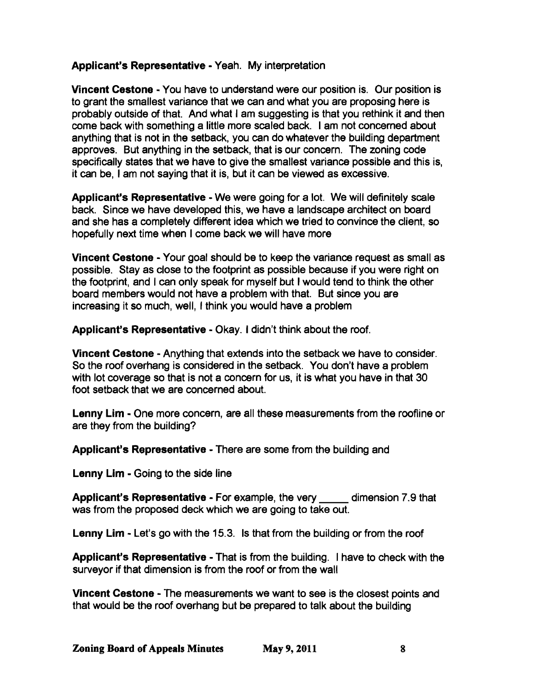## Applicant's Representative - Yeah. My interpretation

Vincent Cestone • You have to understand were our position is. Our position is to grant the smallest variance that we can and what you are proposing here is probably outside of that. And what I am suggesting is that you rethink it and then come back with something a little more scaled back. I am not concerned about anything that is not in the setback, you can do whatever the building department approves. But anything in the setback, that is our concern. The zoning code specifically states that we have to give the smallest variance possible and this is, it can be, I am not saying that it is, but it can be viewed as excessive.

Applicant's Representative - We were going for a lot. We will definitely scale back. Since we have developed this, we have a landscape architect on board and she has a completely different idea which we tried to convince the client, so hopefully next time when I come back we will have more

Vincent Cestone· Your goal should be to keep the variance request as small as possible. Stay as close to the footprint as possible because if you were right on the footprint, and I can only speak for myself but I would tend to think the other board members would not have a problem with that. But since you are increasing it so much, well, I think you would have a problem

Applicant's Representative - Okay. I didn't think about the roof.

Vincent Cestone • Anything that extends into the setback we have to consider. So the roof overhang is considered in the setback. You don't have a problem with lot coverage so that is not a concern for us, it is what you have in that 30 foot setback that we are concerned about.

Lenny Lim • One more concern, are all these measurements from the roofline or are they from the building?

Applicant's Representative - There are some from the building and

Lenny Lim • Going to the side line

Applicant's Representative - For example, the very \_\_\_\_\_ dimension 7.9 that was from the proposed deck which we are going to take out.

Lenny Lim • Let's go with the 15.3. Is that from the building or from the roof

Applicant's Representative - That is from the building. I have to check with the surveyor if that dimension is from the roof or from the wall

Vincent Cestone • The measurements we want to see is the closest points and that would be the roof overhang but be prepared to talk about the building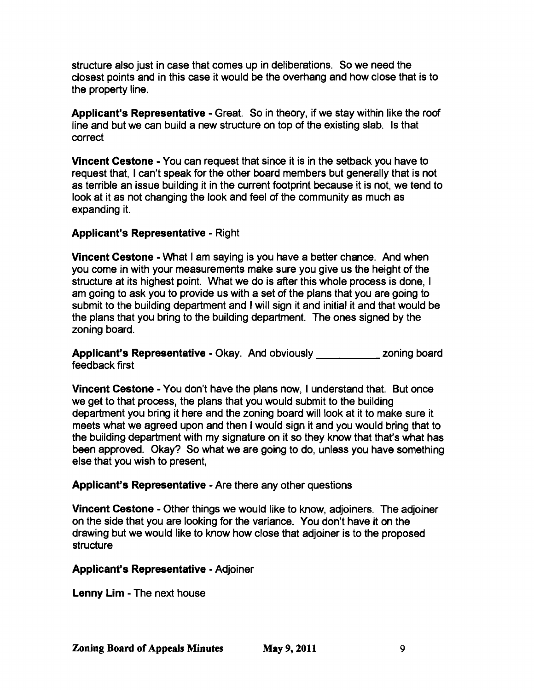structure also just in case that comes up in deliberations. So we need the closest points and in this case it would be the overhang and how close that is to the property line.

Applicant's Representative - Great. So in theory, if we stay within like the roof line and but we can build a new structure on top of the existing slab. Is that correct

Vincent Cestone • You can request that since it is in the setback you have to request that, I can't speak for the other board members but generally that is not as terrible an issue building it in the current footprint because it is not, we tend to look at it as not changing the look and feel of the community as much as expanding it.

## Applicant's Representative - Right

Vincent Cestone • What I am saying is you have a better chance. And when you come in with your measurements make sure you give us the height of the structure at its highest point. What we do is after this whole process is done, I am going to ask you to provide us with a set of the plans that you are going to submit to the building department and I will sign it and initial it and that would be the plans that you bring to the building department. The ones signed by the zoning board.

Applicant's Representative - Okay. And obviously **Example 2018** zoning board feedback first

**Vincent Cestone** - You don't have the plans now, I understand that. But once we get to that process, the plans that you would submit to the building department you bring it here and the zoning board will look at it to make sure it meets what we agreed upon and then I would sign it and you would bring that to the building department with my signature on it so they know that that's what has been approved. Okay? So what we are going to do, unless you have something else that you wish to present,

### Applicant's Representative - Are there any other questions

Vincent Cestone • Other things we would like to know, adjoiners. The adjoiner on the side that you are looking for the variance. You don't have it on the drawing but we would like to know how close that adjoiner is to the proposed **structure** 

### Applicant's Representative - Adjoiner

Lenny Lim - The next house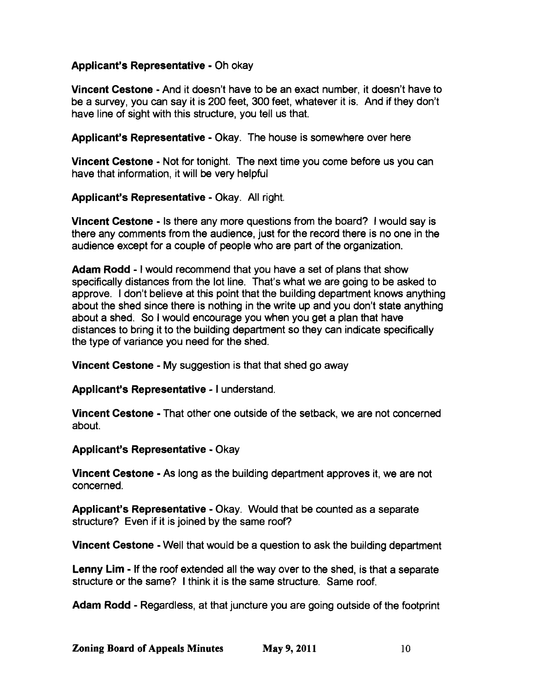## Applicant's Representative - Oh okay

Vincent Cestane • And it doesn't have to be an exact number, it doesn't have to be a survey, you can say it is 200 feet, 300 feet, whatever it is. And if they don't have line of sight with this structure, you tell us that.

Applicant's Representative - Okay. The house is somewhere over here

Vincent Cestone - Not for tonight. The next time you come before us you can have that information, it will be very helpful

Applicant's Representative - Okay. All right.

Vincent Cestane • Is there any more questions from the board? I would say is there any comments from the audience, just for the record there is no one in the audience except for a couple of people who are part of the organization.

Adam Rodd - I would recommend that you have a set of plans that show specifically distances from the lot line. That's what we are going to be asked to approve. I don't believe at this point that the building department knows anything about the shed since there is nothing in the write up and you don't state anything about a shed. So I would encourage you when you get a plan that have distances to bring it to the building department so they can indicate specifically the type of variance you need for the shed.

Vincent Cestone - My suggestion is that that shed go away

Applicant's Representative - I understand.

Vincent Cestane - That other one outside of the setback, we are not concerned about.

Applicant's Representative. Okay

Vincent Cestane - As long as the building department approves it, we are not concerned.

Applicant's Representative - Okay. Would that be counted as a separate structure? Even if it is joined by the same roof?

Vincent Cestane • Well that would be a question to ask the building department

Lenny Lim - If the roof extended all the way over to the shed, is that a separate structure or the same? I think it is the same structure. Same roof.

Adam Radd - Regardless, at that juncture you are going outside of the footprint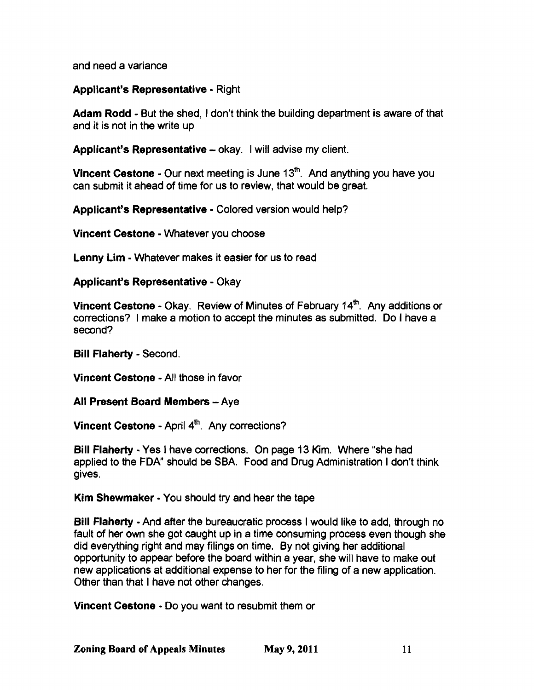and need a variance

#### Applicant's Representative - Right

Adam Rodd • But the shed, I don't think the building department is aware of that and it is not in the write up

Applicant's Representative - okay. I will advise my client.

Vincent Cestone - Our next meeting is June  $13<sup>th</sup>$ . And anything you have you can submit it ahead of time for us to review, that would be great.

Applicant's Representative - Colored version would help?

Vincent Cestone • Whatever you choose

Lenny Lim - Whatever makes it easier for us to read

#### Applicant's Representative - Okay

Vincent Cestone - Okay. Review of Minutes of February 14<sup>th</sup>. Any additions or corrections? I make a motion to accept the minutes as submitted. Do I have a second?

**Bill Flaherty - Second.** 

Vincent Cestone· All those in favor

All Present Board Members - Aye

Vincent Cestone - April 4<sup>th</sup>. Any corrections?

**Bill Flaherty** - Yes I have corrections. On page 13 Kim. Where "she had applied to the FDA" should be SBA. Food and Drug Administration I don't think gives.

Kim Shewmaker· You should try and hear the tape

Bill Flaherty - And after the bureaucratic process I would like to add, through no fault of her own she got caught up in a time consuming process even though she did everything right and may filings on time. By not giving her additional opportunity to appear before the board within a year, she will have to make out new applications at additional expense to her for the filing of a new application. Other than that I have not other changes.

Vincent Cestone • Do you want to resubmit them or